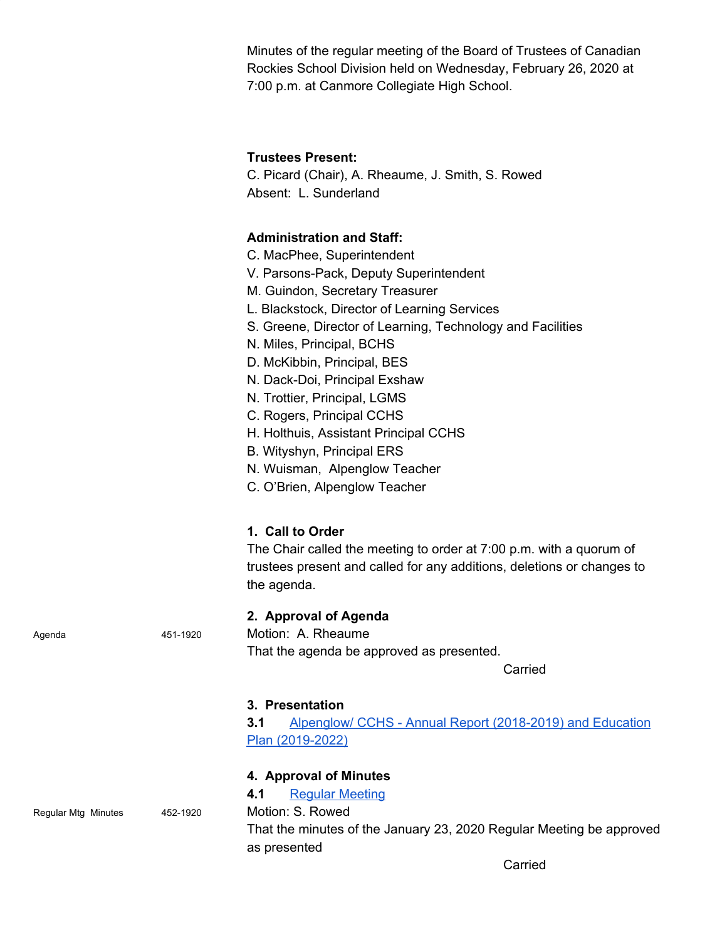Minutes of the regular meeting of the Board of Trustees of Canadian Rockies School Division held on Wednesday, February 26, 2020 at 7:00 p.m. at Canmore Collegiate High School.

## **Trustees Present:**

C. Picard (Chair), A. Rheaume, J. Smith, S. Rowed Absent: L. Sunderland

## **Administration and Staff:**

- C. MacPhee, Superintendent
- V. Parsons-Pack, Deputy Superintendent
- M. Guindon, Secretary Treasurer
- L. Blackstock, Director of Learning Services
- S. Greene, Director of Learning, Technology and Facilities
- N. Miles, Principal, BCHS
- D. McKibbin, Principal, BES
- N. Dack-Doi, Principal Exshaw
- N. Trottier, Principal, LGMS
- C. Rogers, Principal CCHS
- H. Holthuis, Assistant Principal CCHS
- B. Wityshyn, Principal ERS
- N. Wuisman, Alpenglow Teacher
- C. O'Brien, Alpenglow Teacher

## **1. Call to Order**

The Chair called the meeting to order at 7:00 p.m. with a quorum of trustees present and called for any additions, deletions or changes to the agenda.

## **2. Approval of Agenda**

Agenda 451-1920 Motion: A. Rheaume That the agenda be approved as presented.

Carried

#### **3. Presentation**

**3.1** [Alpenglow/](https://cchs.crps.ca/documents/general/2019_2020%20Three%20year%20PlanJan%202020.pdf) CCHS - Annual Report [\(2018-2019\)](https://cchs.crps.ca/documents/general/2019_2020%20Three%20year%20PlanJan%202020.pdf) and Education Plan [\(2019-2022\)](https://cchs.crps.ca/documents/general/2019_2020%20Three%20year%20PlanJan%202020.pdf)

## **4. Approval of Minutes**

**4.1** Regular [Meeting](https://crps.ca/documents/general/Minutes%20January%2023%202020%204.pdf)

Regular Mtg Minutes 452-1920 Motion: S. Rowed

That the minutes of the January 23, 2020 Regular Meeting be approved as presented

Carried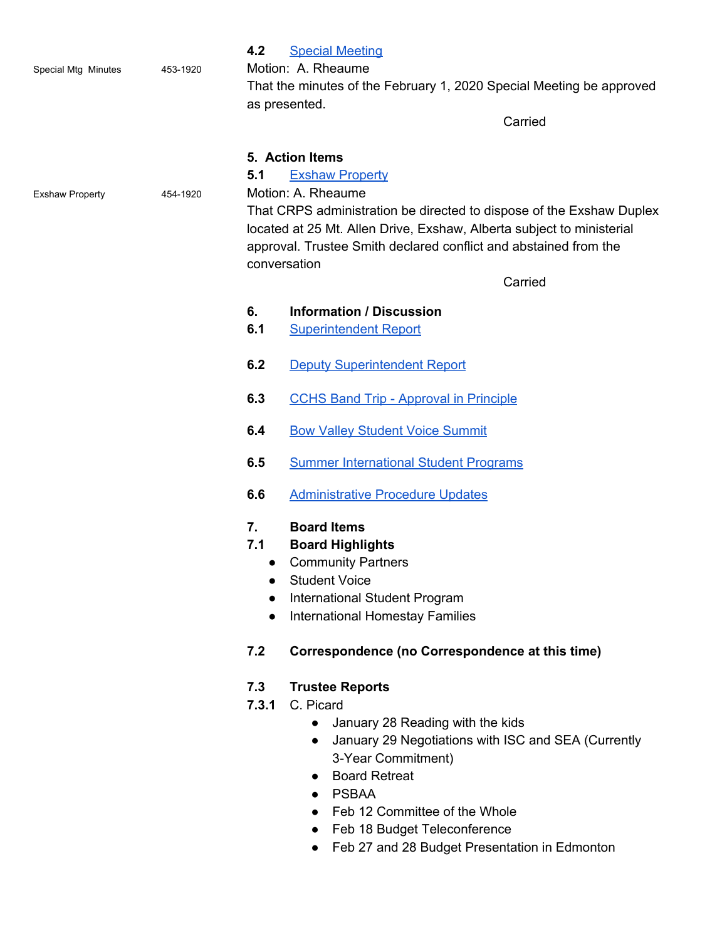|                        |          | 4.2<br><b>Special Meeting</b>                                                                                                                                                                                     |  |
|------------------------|----------|-------------------------------------------------------------------------------------------------------------------------------------------------------------------------------------------------------------------|--|
| Special Mtg Minutes    | 453-1920 | Motion: A. Rheaume                                                                                                                                                                                                |  |
|                        |          | That the minutes of the February 1, 2020 Special Meeting be approved                                                                                                                                              |  |
|                        |          | as presented.                                                                                                                                                                                                     |  |
|                        |          | Carried                                                                                                                                                                                                           |  |
|                        |          | 5. Action Items                                                                                                                                                                                                   |  |
|                        |          | 5.1<br><b>Exshaw Property</b>                                                                                                                                                                                     |  |
| <b>Exshaw Property</b> | 454-1920 | Motion: A. Rheaume                                                                                                                                                                                                |  |
|                        |          | That CRPS administration be directed to dispose of the Exshaw Duplex<br>located at 25 Mt. Allen Drive, Exshaw, Alberta subject to ministerial<br>approval. Trustee Smith declared conflict and abstained from the |  |
|                        |          | conversation                                                                                                                                                                                                      |  |
|                        |          | Carried                                                                                                                                                                                                           |  |
|                        |          | <b>Information / Discussion</b><br>6.                                                                                                                                                                             |  |
|                        |          | 6.1<br><b>Superintendent Report</b>                                                                                                                                                                               |  |
|                        |          |                                                                                                                                                                                                                   |  |
|                        |          | 6.2<br><b>Deputy Superintendent Report</b>                                                                                                                                                                        |  |
|                        |          | 6.3<br><b>CCHS Band Trip - Approval in Principle</b>                                                                                                                                                              |  |
|                        |          | 6.4<br><b>Bow Valley Student Voice Summit</b>                                                                                                                                                                     |  |
|                        |          | 6.5<br><b>Summer International Student Programs</b>                                                                                                                                                               |  |
|                        |          | <b>Administrative Procedure Updates</b><br>6.6                                                                                                                                                                    |  |
|                        |          | <b>Board Items</b><br>7.                                                                                                                                                                                          |  |
|                        |          | <b>Board Highlights</b><br>7.1                                                                                                                                                                                    |  |
|                        |          | <b>Community Partners</b><br>$\bullet$                                                                                                                                                                            |  |
|                        |          | <b>Student Voice</b>                                                                                                                                                                                              |  |
|                        |          | International Student Program                                                                                                                                                                                     |  |
|                        |          | <b>International Homestay Families</b>                                                                                                                                                                            |  |
|                        |          | 7.2<br>Correspondence (no Correspondence at this time)                                                                                                                                                            |  |
|                        |          | 7.3<br><b>Trustee Reports</b>                                                                                                                                                                                     |  |
|                        |          | C. Picard<br>7.3.1                                                                                                                                                                                                |  |
|                        |          | January 28 Reading with the kids                                                                                                                                                                                  |  |
|                        |          | January 29 Negotiations with ISC and SEA (Currently<br>$\bullet$                                                                                                                                                  |  |
|                        |          | 3-Year Commitment)                                                                                                                                                                                                |  |
|                        |          | <b>Board Retreat</b><br>$\bullet$                                                                                                                                                                                 |  |
|                        |          | <b>PSBAA</b><br>Feb 12 Committee of the Whole                                                                                                                                                                     |  |
|                        |          |                                                                                                                                                                                                                   |  |

- Feb 18 Budget Teleconference
- Feb 27 and 28 Budget Presentation in Edmonton